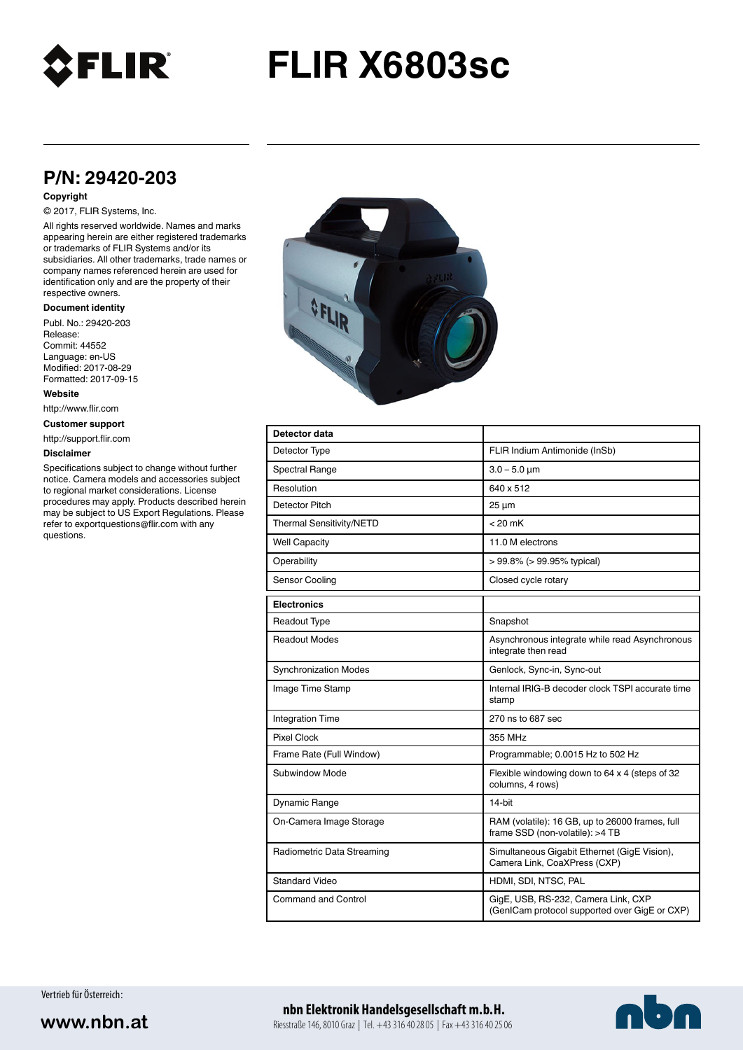

# **FLIR X6803sc**

## **P/N: 29420-203**

#### **Copyright**

### © 2017, FLIR Systems, Inc.

All rights reserved worldwide. Names and marks appearing herein are either registered trademarks or trademarks of FLIR Systems and/or its subsidiaries. All other trademarks, trade names or company names referenced herein are used for identification only and are the property of their respective owners.

#### **Document identity**

Publ. No.: 29420-203 Release: Commit: 44552 Language: en-US Modified: 2017-08-29 Formatted: 2017-09-15

**Website**

http://www.flir.com

**Customer support**

http://support.flir.com

#### **Disclaimer**

Specifications subject to change without further notice. Camera models and accessories subject to regional market considerations. License procedures may apply. Products described herein may be subject to US Export Regulations. Please refer to exportquestions@flir.com with any questions.



| Detector data                |                                                                                      |
|------------------------------|--------------------------------------------------------------------------------------|
| Detector Type                | FLIR Indium Antimonide (InSb)                                                        |
| Spectral Range               | $3.0 - 5.0 \mu m$                                                                    |
| Resolution                   | 640 x 512                                                                            |
| Detector Pitch               | $25 \mu m$                                                                           |
| Thermal Sensitivity/NETD     | $< 20$ mK                                                                            |
| <b>Well Capacity</b>         | 11.0 M electrons                                                                     |
| Operability                  | $> 99.8\%$ ( $> 99.95\%$ typical)                                                    |
| Sensor Cooling               | Closed cycle rotary                                                                  |
| <b>Electronics</b>           |                                                                                      |
| Readout Type                 | Snapshot                                                                             |
| <b>Readout Modes</b>         | Asynchronous integrate while read Asynchronous<br>integrate then read                |
| <b>Synchronization Modes</b> | Genlock, Sync-in, Sync-out                                                           |
| Image Time Stamp             | Internal IRIG-B decoder clock TSPI accurate time<br>stamp                            |
| <b>Integration Time</b>      | 270 ns to 687 sec                                                                    |
| Pixel Clock                  | 355 MHz                                                                              |
| Frame Rate (Full Window)     | Programmable; 0.0015 Hz to 502 Hz                                                    |
| Subwindow Mode               | Flexible windowing down to 64 x 4 (steps of 32<br>columns, 4 rows)                   |
| Dynamic Range                | 14-bit                                                                               |
| On-Camera Image Storage      | RAM (volatile): 16 GB, up to 26000 frames, full<br>frame SSD (non-volatile): >4 TB   |
| Radiometric Data Streaming   | Simultaneous Gigabit Ethernet (GigE Vision),<br>Camera Link, CoaXPress (CXP)         |
| Standard Video               | HDMI, SDI, NTSC, PAL                                                                 |
| Command and Control          | GigE, USB, RS-232, Camera Link, CXP<br>(GenICam protocol supported over GigE or CXP) |

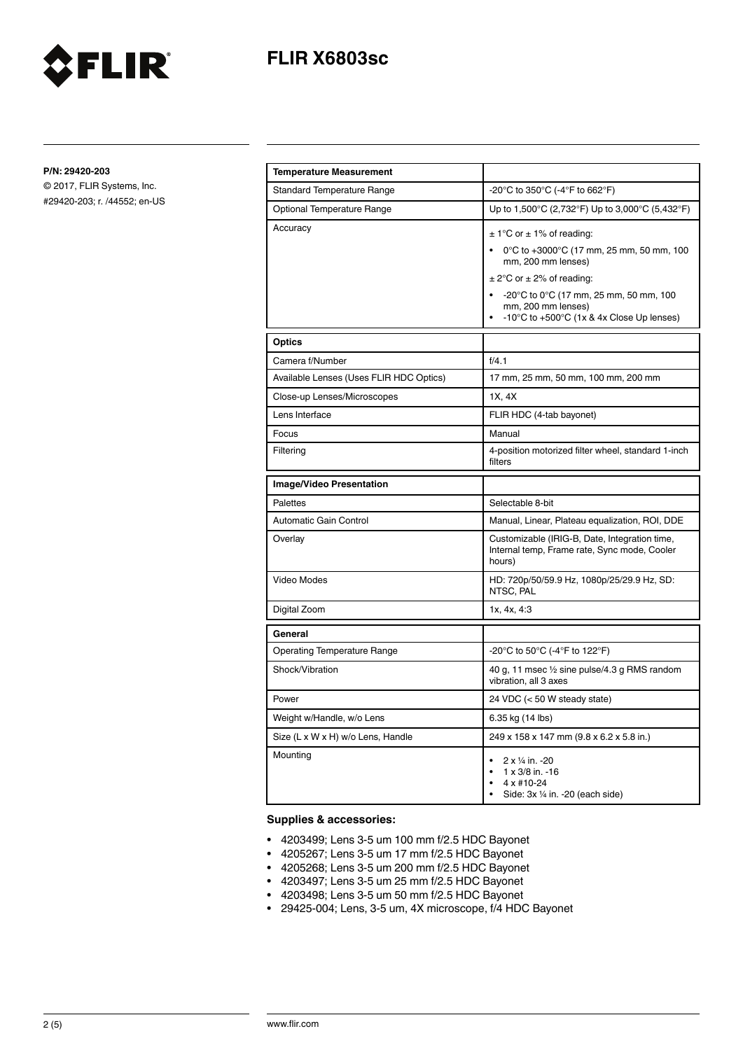

**P/N: 29420-203**

© 2017, FLIR Systems, Inc. #29420-203; r. /44552; en-US

FLIR®

| <b>Temperature Measurement</b>          |                                                                                                                                                                                                                                                                                                |
|-----------------------------------------|------------------------------------------------------------------------------------------------------------------------------------------------------------------------------------------------------------------------------------------------------------------------------------------------|
| <b>Standard Temperature Range</b>       | -20°C to 350°C (-4°F to 662°F)                                                                                                                                                                                                                                                                 |
| Optional Temperature Range              | Up to 1,500°C (2,732°F) Up to 3,000°C (5,432°F)                                                                                                                                                                                                                                                |
| Accuracy                                | $\pm$ 1°C or $\pm$ 1% of reading:<br>0°C to +3000°C (17 mm, 25 mm, 50 mm, 100<br>mm, 200 mm lenses)<br>$\pm$ 2°C or $\pm$ 2% of reading:<br>$-20^{\circ}$ C to 0 $^{\circ}$ C (17 mm, 25 mm, 50 mm, 100<br>mm, 200 mm lenses)<br>$-10^{\circ}$ C to $+500^{\circ}$ C (1x & 4x Close Up lenses) |
| Optics                                  |                                                                                                                                                                                                                                                                                                |
| Camera f/Number                         | f/4.1                                                                                                                                                                                                                                                                                          |
| Available Lenses (Uses FLIR HDC Optics) | 17 mm, 25 mm, 50 mm, 100 mm, 200 mm                                                                                                                                                                                                                                                            |
| Close-up Lenses/Microscopes             | 1X, 4X                                                                                                                                                                                                                                                                                         |
| Lens Interface                          | FLIR HDC (4-tab bayonet)                                                                                                                                                                                                                                                                       |
| Focus                                   | Manual                                                                                                                                                                                                                                                                                         |
| Filtering                               | 4-position motorized filter wheel, standard 1-inch<br>filters                                                                                                                                                                                                                                  |
| <b>Image/Video Presentation</b>         |                                                                                                                                                                                                                                                                                                |
| Palettes                                | Selectable 8-bit                                                                                                                                                                                                                                                                               |
| <b>Automatic Gain Control</b>           | Manual, Linear, Plateau equalization, ROI, DDE                                                                                                                                                                                                                                                 |
| Overlay                                 | Customizable (IRIG-B, Date, Integration time,<br>Internal temp, Frame rate, Sync mode, Cooler<br>hours)                                                                                                                                                                                        |
| Video Modes                             | HD: 720p/50/59.9 Hz, 1080p/25/29.9 Hz, SD:<br>NTSC, PAL                                                                                                                                                                                                                                        |
| Digital Zoom                            | 1x, 4x, 4:3                                                                                                                                                                                                                                                                                    |
| General                                 |                                                                                                                                                                                                                                                                                                |
| <b>Operating Temperature Range</b>      | -20°C to 50°C (-4°F to 122°F)                                                                                                                                                                                                                                                                  |
| Shock/Vibration                         | 40 g, 11 msec 1/2 sine pulse/4.3 g RMS random<br>vibration, all 3 axes                                                                                                                                                                                                                         |
| Power                                   | 24 VDC (< 50 W steady state)                                                                                                                                                                                                                                                                   |
| Weight w/Handle, w/o Lens               | 6.35 kg (14 lbs)                                                                                                                                                                                                                                                                               |
| Size (L x W x H) w/o Lens, Handle       | 249 x 158 x 147 mm (9.8 x 6.2 x 5.8 in.)                                                                                                                                                                                                                                                       |
| Mounting                                | 2 x 1/4 in. -20<br>$1 \times 3/8$ in. -16<br>4 x #10-24<br>Side: 3x 1/4 in. -20 (each side)                                                                                                                                                                                                    |

### **Supplies & accessories:**

- 4203499; Lens 3-5 um 100 mm f/2.5 HDC Bayonet
- 4205267; Lens 3-5 um 17 mm f/2.5 HDC Bayonet
- 4205268; Lens 3-5 um 200 mm f/2.5 HDC Bayonet
- 4203497; Lens 3-5 um 25 mm f/2.5 HDC Bayonet
- 4203498; Lens 3-5 um 50 mm f/2.5 HDC Bayonet
- 29425-004; Lens, 3-5 um, 4X microscope, f/4 HDC Bayonet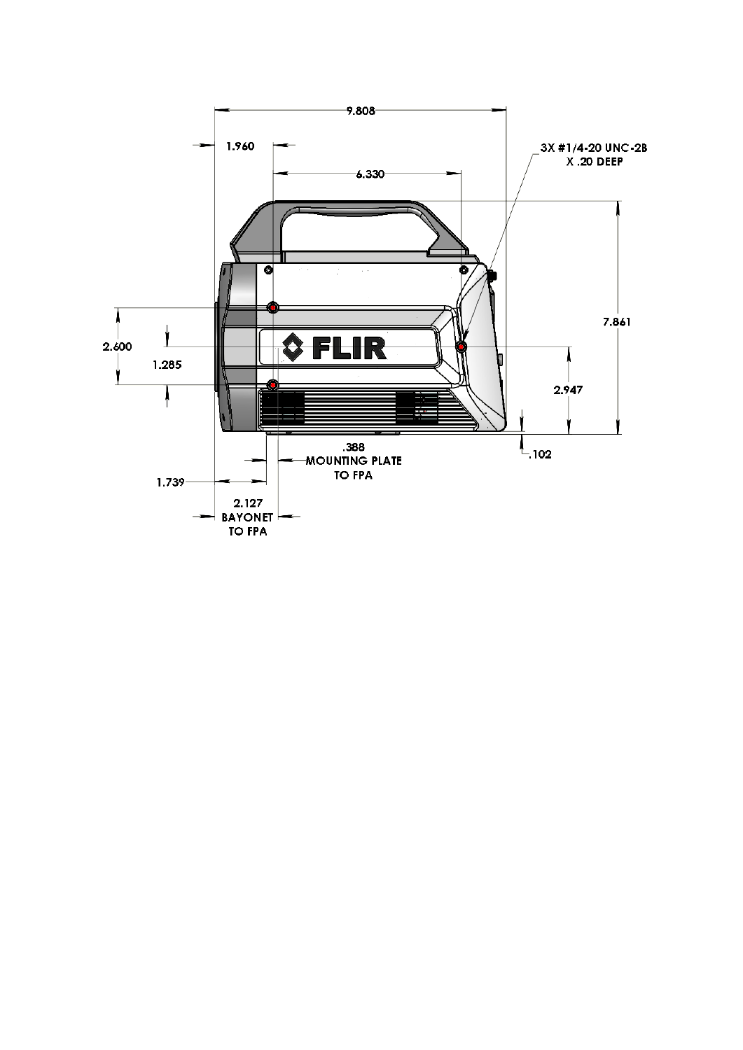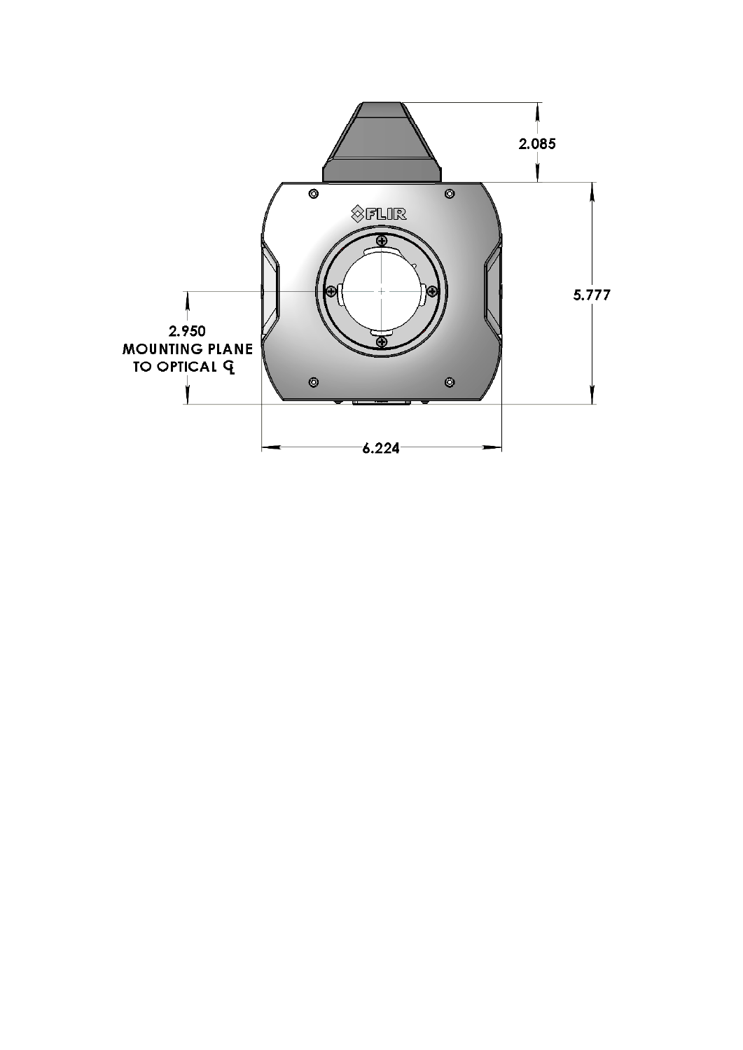